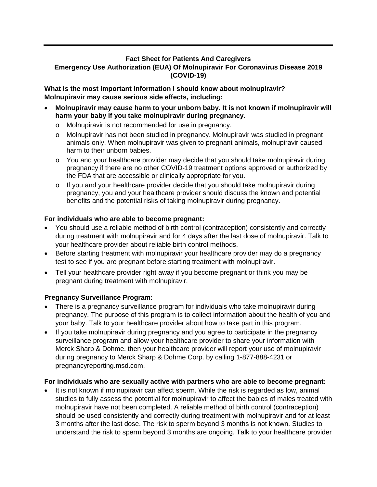## **Fact Sheet for Patients And Caregivers Emergency Use Authorization (EUA) Of Molnupiravir For Coronavirus Disease 2019 (COVID-19)**

**What is the most important information I should know about molnupiravir? Molnupiravir may cause serious side effects, including:**

- **Molnupiravir may cause harm to your unborn baby. It is not known if molnupiravir will harm your baby if you take molnupiravir during pregnancy.**
	- o Molnupiravir is not recommended for use in pregnancy.
	- o Molnupiravir has not been studied in pregnancy. Molnupiravir was studied in pregnant animals only. When molnupiravir was given to pregnant animals, molnupiravir caused harm to their unborn babies.
	- o You and your healthcare provider may decide that you should take molnupiravir during pregnancy if there are no other COVID-19 treatment options approved or authorized by the FDA that are accessible or clinically appropriate for you.
	- o If you and your healthcare provider decide that you should take molnupiravir during pregnancy, you and your healthcare provider should discuss the known and potential benefits and the potential risks of taking molnupiravir during pregnancy.

## **For individuals who are able to become pregnant:**

- You should use a reliable method of birth control (contraception) consistently and correctly during treatment with molnupiravir and for 4 days after the last dose of molnupiravir. Talk to your healthcare provider about reliable birth control methods.
- Before starting treatment with molnupiravir your healthcare provider may do a pregnancy test to see if you are pregnant before starting treatment with molnupiravir.
- Tell your healthcare provider right away if you become pregnant or think you may be pregnant during treatment with molnupiravir.

## **Pregnancy Surveillance Program:**

- There is a pregnancy surveillance program for individuals who take molnupiravir during pregnancy. The purpose of this program is to collect information about the health of you and your baby. Talk to your healthcare provider about how to take part in this program.
- If you take molnupiravir during pregnancy and you agree to participate in the pregnancy surveillance program and allow your healthcare provider to share your information with Merck Sharp & Dohme, then your healthcare provider will report your use of molnupiravir during pregnancy to Merck Sharp & Dohme Corp. by calling 1-877-888-4231 or pregnancyreporting.msd.com.

## **For individuals who are sexually active with partners who are able to become pregnant:**

It is not known if molnupiravir can affect sperm. While the risk is regarded as low, animal studies to fully assess the potential for molnupiravir to affect the babies of males treated with molnupiravir have not been completed. A reliable method of birth control (contraception) should be used consistently and correctly during treatment with molnupiravir and for at least 3 months after the last dose. The risk to sperm beyond 3 months is not known. Studies to understand the risk to sperm beyond 3 months are ongoing. Talk to your healthcare provider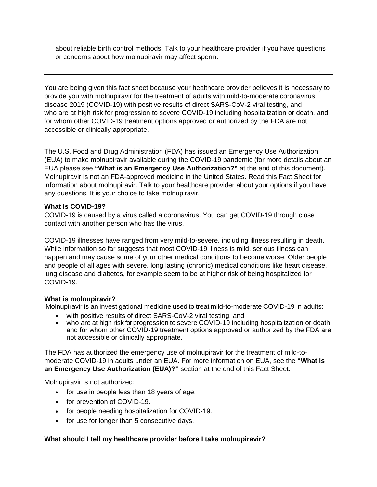about reliable birth control methods. Talk to your healthcare provider if you have questions or concerns about how molnupiravir may affect sperm.

You are being given this fact sheet because your healthcare provider believes it is necessary to provide you with molnupiravir for the treatment of adults with mild-to-moderate coronavirus disease 2019 (COVID-19) with positive results of direct SARS-CoV-2 viral testing, and who are at high risk for progression to severe COVID-19 including hospitalization or death, and for whom other COVID-19 treatment options approved or authorized by the FDA are not accessible or clinically appropriate.

The U.S. Food and Drug Administration (FDA) has issued an Emergency Use Authorization (EUA) to make molnupiravir available during the COVID-19 pandemic (for more details about an EUA please see **"What is an Emergency Use Authorization?"** at the end of this document). Molnupiravir is not an FDA-approved medicine in the United States. Read this Fact Sheet for information about molnupiravir. Talk to your healthcare provider about your options if you have any questions. It is your choice to take molnupiravir.

## **What is COVID-19?**

COVID-19 is caused by a virus called a coronavirus. You can get COVID-19 through close contact with another person who has the virus.

COVID-19 illnesses have ranged from very mild-to-severe, including illness resulting in death. While information so far suggests that most COVID-19 illness is mild, serious illness can happen and may cause some of your other medical conditions to become worse. Older people and people of all ages with severe, long lasting (chronic) medical conditions like heart disease, lung disease and diabetes, for example seem to be at higher risk of being hospitalized for COVID-19.

## **What is molnupiravir?**

Molnupiravir is an investigational medicine used to treat mild-to-moderate COVID-19 in adults:

- with positive results of direct SARS-CoV-2 viral testing, and
- who are at high risk for progression to severe COVID-19 including hospitalization or death. and for whom other COVID-19 treatment options approved or authorized by the FDA are not accessible or clinically appropriate.

The FDA has authorized the emergency use of molnupiravir for the treatment of mild-tomoderate COVID-19 in adults under an EUA. For more information on EUA, see the **"What is an Emergency Use Authorization (EUA)?"** section at the end of this Fact Sheet.

Molnupiravir is not authorized:

- for use in people less than 18 years of age.
- for prevention of COVID-19.
- for people needing hospitalization for COVID-19.
- for use for longer than 5 consecutive days.

# **What should I tell my healthcare provider before I take molnupiravir?**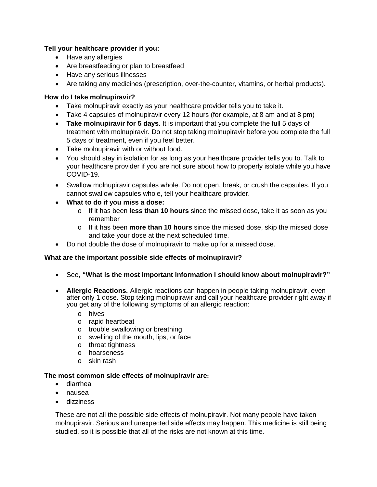# **Tell your healthcare provider if you:**

- Have any allergies
- Are breastfeeding or plan to breastfeed
- Have any serious illnesses
- Are taking any medicines (prescription, over-the-counter, vitamins, or herbal products).

## **How do I take molnupiravir?**

- Take molnupiravir exactly as your healthcare provider tells you to take it.
- Take 4 capsules of molnupiravir every 12 hours (for example, at 8 am and at 8 pm)
- **Take molnupiravir for 5 days**. It is important that you complete the full 5 days of treatment with molnupiravir. Do not stop taking molnupiravir before you complete the full 5 days of treatment, even if you feel better.
- Take molnupiravir with or without food.
- You should stay in isolation for as long as your healthcare provider tells you to. Talk to your healthcare provider if you are not sure about how to properly isolate while you have COVID-19.
- Swallow molnupiravir capsules whole. Do not open, break, or crush the capsules. If you cannot swallow capsules whole, tell your healthcare provider.
- **What to do if you miss a dose:**
	- o If it has been **less than 10 hours** since the missed dose, take it as soon as you remember
	- o If it has been **more than 10 hours** since the missed dose, skip the missed dose and take your dose at the next scheduled time.
- Do not double the dose of molnupiravir to make up for a missed dose.

## **What are the important possible side effects of molnupiravir?**

- See, **"What is the most important information I should know about molnupiravir?"**
- **Allergic Reactions.** Allergic reactions can happen in people taking molnupiravir, even after only 1 dose. Stop taking molnupiravir and call your healthcare provider right away if you get any of the following symptoms of an allergic reaction:
	- o hives
	- o rapid heartbeat
	- o trouble swallowing or breathing
	- o swelling of the mouth, lips, or face
	- o throat tightness
	- o hoarseness
	- o skin rash

#### **The most common side effects of molnupiravir are:**

- diarrhea
- nausea
- dizziness

These are not all the possible side effects of molnupiravir. Not many people have taken molnupiravir. Serious and unexpected side effects may happen. This medicine is still being studied, so it is possible that all of the risks are not known at this time.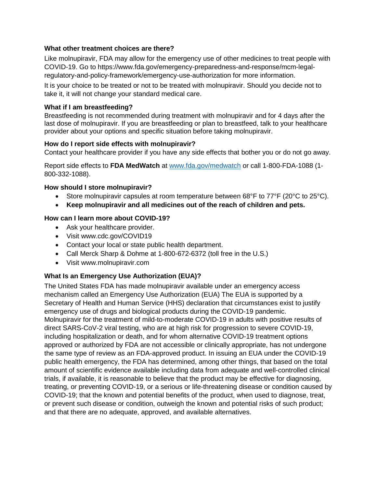## **What other treatment choices are there?**

Like molnupiravir, FDA may allow for the emergency use of other medicines to treat people with COVID-19. Go to https://www.fda.gov/emergency-preparedness-and-response/mcm-legalregulatory-and-policy-framework/emergency-use-authorization for more information.

It is your choice to be treated or not to be treated with molnupiravir. Should you decide not to take it, it will not change your standard medical care.

#### **What if I am breastfeeding?**

Breastfeeding is not recommended during treatment with molnupiravir and for 4 days after the last dose of molnupiravir. If you are breastfeeding or plan to breastfeed, talk to your healthcare provider about your options and specific situation before taking molnupiravir.

#### **How do I report side effects with molnupiravir?**

Contact your healthcare provider if you have any side effects that bother you or do not go away.

Report side effects to **FDA MedWatch** at [www.fda.gov/medwatch](http://www.fda.gov/medwatch) or call 1-800-FDA-1088 (1- 800-332-1088).

#### **How should I store molnupiravir?**

- Store molnupiravir capsules at room temperature between 68°F to 77°F (20°C to 25°C).
- **Keep molnupiravir and all medicines out of the reach of children and pets.**

#### **How can I learn more about COVID-19?**

- Ask your healthcare provider.
- Visit www.cdc.gov/COVID19
- Contact your local or state public health department.
- Call Merck Sharp & Dohme at 1-800-672-6372 (toll free in the U.S.)
- Visit www.molnupiravir.com

## **What Is an Emergency Use Authorization (EUA)?**

The United States FDA has made molnupiravir available under an emergency access mechanism called an Emergency Use Authorization (EUA) The EUA is supported by a Secretary of Health and Human Service (HHS) declaration that circumstances exist to justify emergency use of drugs and biological products during the COVID-19 pandemic. Molnupiravir for the treatment of mild-to-moderate COVID-19 in adults with positive results of direct SARS-CoV-2 viral testing, who are at high risk for progression to severe COVID-19, including hospitalization or death, and for whom alternative COVID-19 treatment options approved or authorized by FDA are not accessible or clinically appropriate, has not undergone the same type of review as an FDA-approved product. In issuing an EUA under the COVID-19 public health emergency, the FDA has determined, among other things, that based on the total amount of scientific evidence available including data from adequate and well-controlled clinical trials, if available, it is reasonable to believe that the product may be effective for diagnosing, treating, or preventing COVID-19, or a serious or life-threatening disease or condition caused by COVID-19; that the known and potential benefits of the product, when used to diagnose, treat, or prevent such disease or condition, outweigh the known and potential risks of such product; and that there are no adequate, approved, and available alternatives.